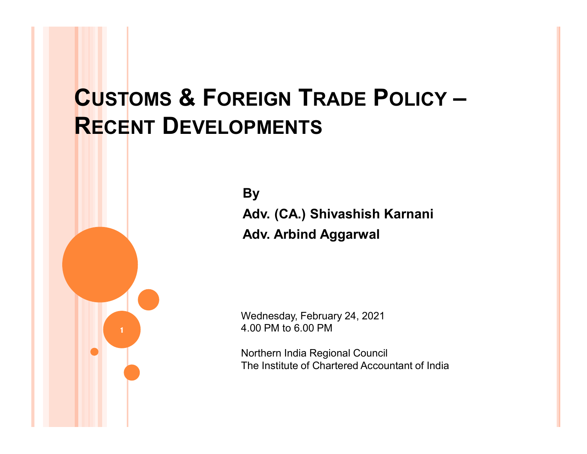## CUSTOMS & FOREIGN TRADE POLICY – RECENT DEVELOPMENTS

**By** Adv. (CA.) Shivashish Karnani Adv. Arbind Aggarwal

Wednesday, February 24, 2021 4.00 PM to 6.00 PM

Northern India Regional Council The Institute of Chartered Accountant of India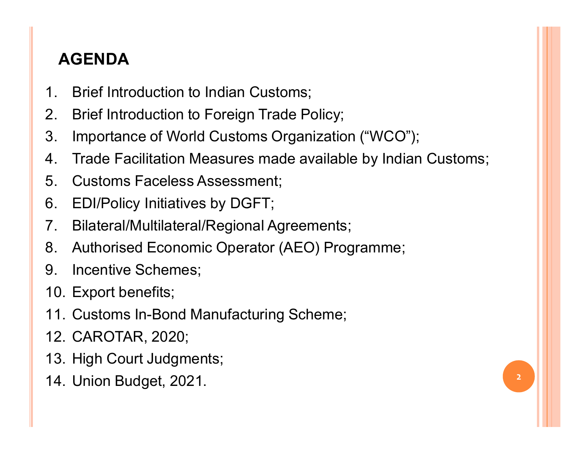## AGENDA

- 
- **AGENDA**<br>1. Brief Introduction to Indian Customs;<br>2. Brief Introduction to Foreign Trade Policy;<br>3. Importance of World Customs Organization ("V
- **AGENDA**<br>1. Brief Introduction to Indian Customs;<br>2. Brief Introduction to Foreign Trade Policy;<br>3. Importance of World Customs Organization ("WCO"<br>4. Trade Facilitation Measures made available by India **AGENDA**<br>
1. Brief Introduction to Indian Customs;<br>
2. Brief Introduction to Foreign Trade Policy;<br>
3. Importance of World Customs Organizatic<br>
4. Trade Facilitation Measures made availab<br>
5. Customs Faceless Assessment;<br> AGENDA<br>
1. Brief Introduction to Indian Customs;<br>
2. Brief Introduction to Foreign Trade Policy<br>
3. Importance of World Customs Organizati<br>
4. Trade Facilitation Measures made availa<br>
5. Customs Faceless Assessment;<br>
6. ED AGENDA<br>
1. Brief Introduction to Indian Customs;<br>
2. Brief Introduction to Foreign Trade Policy;<br>
3. Importance of World Customs Organization ("WCO")<br>
4. Trade Facilitation Measures made available by India<br>
5. Customs Face
- **AGENDA**<br>1. Brief Introduction to Indian Customs;<br>2. Brief Introduction to Foreign Trade Policy;<br>3. Importance of World Customs Organization ("WCO");<br>4. Trade Facilitation Measures made available by Indian Customs<br>5. Custo AGENDA<br>
1. Brief Introduction to Indian Customs;<br>
2. Brief Introduction to Foreign Trade Policy;<br>
3. Importance of World Customs Organization ("WCO");<br>
4. Trade Facilitation Measures made available by Indian Customs;<br>
5. C **AGENDA**<br>
1. Brief Introduction to Indian Customs;<br>
2. Brief Introduction to Foreign Trade Policy;<br>
3. Importance of World Customs Organization ("WCO");<br>
4. Trade Facilitation Measures made available by Indian Custor<br>
5. C
- 
- 
- 
- 1. Brief Introduction to Indian Customs;<br>
2. Brief Introduction to Foreign Trade Po<br>
3. Importance of World Customs Organi<br>
4. Trade Facilitation Measures made av<br>
5. Customs Faceless Assessment;<br>
6. EDI/Policy Initiatives 2. Brief Introduction to Foreign Trade Po<br>
3. Importance of World Customs Organi<br>
4. Trade Facilitation Measures made av<br>
5. Customs Faceless Assessment;<br>
6. EDI/Policy Initiatives by DGFT;<br>
7. Bilateral/Multilateral/Regio 3. Importance of World Customs Organization ("WCO"<br>
4. Trade Facilitation Measures made available by India<br>
5. Customs Faceless Assessment;<br>
6. EDI/Policy Initiatives by DGFT;<br>
7. Bilateral/Multilateral/Regional Agreements 4. Trade Facilitation Measures made av<br>5. Customs Faceless Assessment;<br>6. EDI/Policy Initiatives by DGFT;<br>7. Bilateral/Multilateral/Regional Agreen<br>8. Authorised Economic Operator (AEO<br>9. Incentive Schemes;<br>10. Export bene 5. Customs Faceless Assessment;<br>6. EDI/Policy Initiatives by DGFT;<br>7. Bilateral/Multilateral/Regional Agreen<br>8. Authorised Economic Operator (AEO<br>9. Incentive Schemes;<br>10. Export benefits;<br>11. Customs In-Bond Manufacturing 6. EDI/Policy Initiatives by DGFT;<br>7. Bilateral/Multilateral/Regional Agreements;<br>8. Authorised Economic Operator (AEO) Programme;<br>9. Incentive Schemes;<br>10. Export benefits;<br>11. Customs In-Bond Manufacturing Scheme;<br>12. CA
- 
- 
- 
- 
- 
-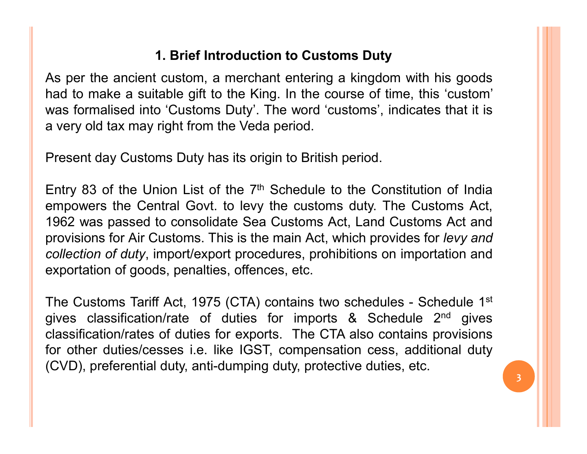### 1. Brief Introduction to Customs Duty

1. Brief Introduction to Customs Duty<br>As per the ancient custom, a merchant entering a kingdom with his goods<br>had to make a suitable gift to the King. In the course of time, this 'custom'<br>was formalised into 'Customs Duty' 1. Brief Introduction to Customs Duty<br>As per the ancient custom, a merchant entering a kingdom with his goods<br>had to make a suitable gift to the King. In the course of time, this 'custom'<br>was formalised into 'Customs Duty' 1. Brief Introduction to Customs Duty<br>As per the ancient custom, a merchant entering a kingdom with his goods<br>had to make a suitable gift to the King. In the course of time, this 'custom'<br>was formalised into 'Customs Duty' 1. Brief Introduction to Customs Duty<br>As per the ancient custom, a merchant entering a kingdom with his goods<br>had to make a suitable gift to the King. In the course of time, this 'custom'<br>was formalised into 'Customs Duty' **1. Brief Introduction to Customs Duty**<br>
As per the ancient custom, a merchant entering a kingdom with his goods<br>
had to make a suitable gift to the King. In the course of time, this 'custom'<br>
was formalised into 'Customs **Example 13 of the Union List of the 7th Schedule to the Constitution of the Pine 11 of the Schedule to the Schedule to the Constitution Christian are of the 11 of the 7th Schedule to the Constitution of India<br>Present day** 

1. Brief Introduction to Customs Duty<br>
As per the ancient custom, a merchant entering a kingdom with his goods<br>
had to make a suitable gift to the King. In the course of time, this 'custom'<br>
was formalised into 'Customs D 1. **Brief Introduction to Customs Duty**<br>
As per the ancient custom, a merchant entering a kingdom with his goods<br>
had to make a suitable gift to the King. In the course of time, this 'custom'<br>
was formalised into 'Customs **1. Brief Introduction to Customs Duty**<br>As per the ancient custom, a merchant entering a kingdom with his goods<br>had to make a suitable gift to the King. In the course of time, this 'custom'<br>was formalised into 'Customs Du As per the ancient custom, a merchant entering a kingdom with his goods<br>had to make a suitable gift to the King. In the course of time, this 'custom'<br>was formalised into 'Customs Duty'. The word 'customs', indicates that As per the ancient custom, a mericulant entering a kingdom with his goods<br>had to make a suitable gift to the King. In the course of time, this 'custom'<br>was formalised into 'Customs Duty'. The word' customs', indicates tha was iomialised into Customs Duty : The word customs, motiodes that it is<br>a very old tax may right from the Veda period.<br>Entry 83 of the Union List of the 7<sup>th</sup> Schedule to the Constitution of India<br>empowers the Central Gov a very old tax hray right nont the veda period.<br>
Entry 83 of the Union List of the 7<sup>th</sup> Schedule to the Constitution of India<br>
empowers the Central Govt. to levy the customs duty. The Customs Act,<br>
1962 was passed to cons Present day Customs Duty has its origin to British period.<br>
Entry 83 of the Union List of the 7<sup>th</sup> Schedule to the Constitution of India<br>
empowers the Central Govt. to levy the customs duty. The Customs Act,<br>
1962 was pas Fresent day customs Duty has its origin to British period.<br>
Entry 83 of the Union List of the 7<sup>th</sup> Schedule to the Constitution of India<br>
empowers the Central Govt. to levy the customs duty. The Customs Act,<br>
1962 was pa Entry 83 of the Union List of the 7<sup>th</sup> Schedule to the Constitution of India<br>empowers the Central Govt. to levy the customs duty. The Customs Act,<br>1962 was passed to consolidate Sea Customs Act, Land Customs Act and<br>provi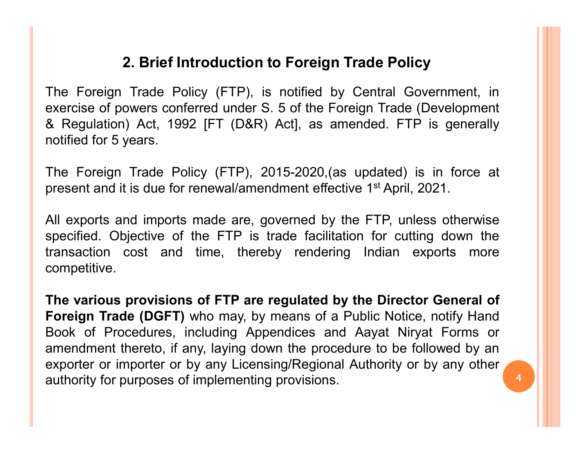## 2. Brief Introduction to Foreign Trade Policy

2. Brief Introduction to Foreign Trade Policy<br>The Foreign Trade Policy (FTP), is notified by Central Government, in<br>exercise of powers conferred under S. 5 of the Foreign Trade (Development<br>& Regulation) Act, 1992 [FT (D&R 2. Brief Introduction to Foreign Trade Policy<br>The Foreign Trade Policy (FTP), is notified by Central Government, in<br>exercise of powers conferred under S. 5 of the Foreign Trade (Development<br>& Regulation) Act, 1992 [FT (D&R 2. Brief Introduction to Foreign Trade Policy<br>
The Foreign Trade Policy (FTP), is notified by Central Government, in<br>
exercise of powers conferred under S. 5 of the Foreign Trade (Development<br>
& Regulation) Act, 1992 [FT ( **2. Brief Introduction to Foreign Tra**<br>The Foreign Trade Policy (FTP), is notified by Center<br>exercise of powers conferred under S. 5 of the Foreign<br>& Regulation) Act, 1992 [FT (D&R) Act], as amenes<br>notified for 5 years.<br>Th 2. Brief Introduction to Foreign Trade Policy<br>
The Foreign Trade Policy (FTP), is notified by Central Government, in<br>
exercise of powers conferred under S. 5 of the Foreign Trade (Development<br>
& Regulation) Act, 1992 [FT ( 2. Brief Introduction to Foreign Trade Policy<br>
The Foreign Trade Policy (FTP), is notified by Central Government, in<br>
exercise of powers conferred under S. 5 of the Foreign Trade (Development<br>
& Regulation) Act, 1992 [FT ( 2. Brief Introduction to Foreign Trade Policy<br>
The Foreign Trade Policy (FTP), is notified by Central Government, in<br>
exercise of powers conferred under S. 5 of the Foreign Trade (Development<br>
& Regulation) Act, 1992 [FT ( **2. Brief Introduction to Foreign Trade Policy**<br>The Foreign Trade Policy (FTP), is notified by Central Government, in<br>exercise of powers conferred under S. 5 of the Foreign Trade (Development<br>& Regulation) Act, 1992 [FT (D 2. Brief introduction to Foreign Trade Policy<br>
The Foreign Trade Policy (FTP), is notified by Central Government, in<br>
exercise of powers conferred under S. 5 of the Foreign Trade (Development<br>
& Regulation) Act, 1992 [FT (

competitive. Exercise of powers conferred under s. 5 of the Potelgin Trade (Development<br>& Regulation) Act, 1992 [FT (D&R) Act], as amended. FTP is generally<br>notified for 5 years.<br>The Foreign Trade Policy (FTP), 2015-2020, (as updated)

Foreign Trade (DGFT) who may, by means of a Public Notice, notify Hand Book of Procedures, including Appendices and Aayat Niryat Forms or α Regulation) Act, 1992 [F1 (DαR) Act], as alterided. FTF is generally<br>notified for 5 years.<br>The Foreign Trade Policy (FTP), 2015-2020.(as updated) is in force at<br>present and it is due for renewal/amendment effective 1<sup>st</sup> The Foreign Trade Policy (FTP), 2015-2020.(as updated) is in force at<br>present and it is due for renewal/amendment effective 1<sup>st</sup> April, 2021.<br>All exports and imports made are, governed by the FTP, unless otherwise<br>specifi The Foreign Trade Policy (FTP), 2015-2020, (as updated) is in force at<br>present and it is due for renewal/amendment effective 1<sup>st</sup> April, 2021.<br>All exports and imports made are, governed by the FTP, unless otherwise<br>specif The Poteign Trade Policy (PTP), 2013-2020, (as updated) is in folce at<br>present and it is due for renewal/amendment effective 1<sup>st</sup> April, 2021.<br>All exports and imports made are, governed by the FTP, unless otherwise<br>specif present and it is due for renewaramentiment enective 1<sup>23</sup>April, 2021.<br>All exports and imports made are, governed by the FTP, unless otherwise<br>specified. Objective of the FTP is trade facilitation for cutting down the<br>tran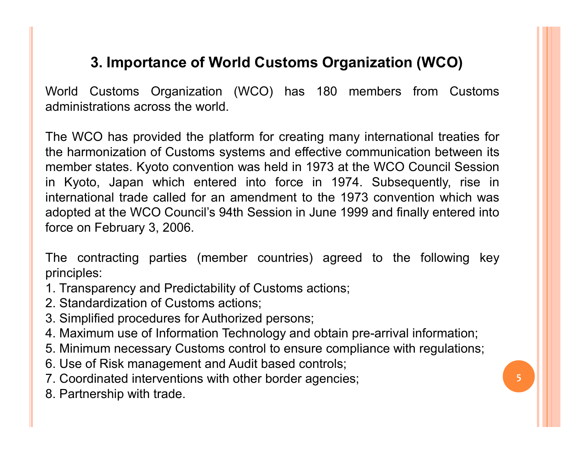## 3. Importance of World Customs Organization (WCO)

**3. Importance of World Customs Organization (WCO)**<br>World Customs Organization (WCO) has 180 members from Customs<br>administrations across the world.<br>The WCO has provided the platform for creating many international treaties 3. Importance of World Customs Organization (W<br>World Customs Organization (WCO) has 180 members from<br>administrations across the world.<br>The WCO has provided the platform for creating many international<br>the harmonization of

3. Importance of World Customs Organization (WCO)<br>World Customs Organization (WCO) has 180 members from Customs<br>administrations across the world.<br>The WCO has provided the platform for creating many international treaties f **3. Importance of World Customs Organization (WCO)**<br>World Customs Organization (WCO) has 180 members from Customs<br>administrations across the world.<br>The WCO has provided the platform for creating many international treaties 3. Importance of World Customs Organization (WCO)<br>World Customs Organization (WCO) has 180 members from Customs<br>administrations across the world.<br>The WCO has provided the platform for creating many international treaties f 3. Importance of World Customs Organization (WCO)<br>World Customs Organization (WCO) has 180 members from Customs<br>administrations across the world.<br>The WCO has provided the platform for creating many international treaties f 3. Importance of World Customs Organization (WCO)<br>World Customs Organization (WCO) has 180 members from Customs<br>administrations across the world.<br>The WCO has provided the platform for creating many international treaties f 3. Importance of World Customs Organization (WCO)<br>World Customs Organization (WCO) has 180 members from Customs<br>administrations across the world.<br>The WCO has provided the platform for creating many international treaties f 3. **Importance of World Customs Organizatio**<br>World Customs Organization (WCO) has 180 members<br>administrations across the world.<br>The WCO has provided the platform for creating many internat<br>the harmonization of Customs syst **Contractive Contract Contract Contract Contract Contract Contract Controls administrations across the world.**<br>The WCO has provided the platform for creating many international treaties for the harmonization of Customs sys administrations across the world.<br>
The WCO has provided the platform for creating many international treaties for<br>
the harmonization of Customs systems and effective communication between its<br>
member states. Kyoto conventi The WCO has provided the platform for creating many international trea<br>
the harmonization of Customs systems and effective communication betw<br>
member states. Kyoto convention was held in 1973 at the WCO Council S<br>
in Kyoto The WCO has provided the platform for creating many international treaties for<br>the harmonization of Customs systems and effective communication between its<br>member states. Kyoto convention was held in 1973 at the WCO Counci the harmonization of Customs systems and effective communication between its<br>member states. Kyoto convention was held in 1973 at the WCO Council Session<br>in Kyoto, Japan which entered into force in 1974. Subsequently, rise member states. Kyoto convention was held in 1973 at the WCO Council Session<br>in Kyoto, Japan which entered into force in 1974. Subsequently, rise in<br>international trade called for an amendment to the 1973 convention which w in Kyoto, Japan which entered into force in 1974. Subsequently, rise in<br>international trade called for an amendment to the 1973 convention which was<br>adopted at the WCO Council's 94th Session in June 1999 and finally entere The material trade called for an amendment to the 1973 convention which was<br>adopted at the WCO Council's 94th Session in June 1999 and finally entered into<br>force on February 3, 2006.<br>The contracting parties (member countri adopted at the WCO Council's 94th Session in June 1999 and<br>force on February 3, 2006.<br>The contracting parties (member countries) agreed to t<br>principles:<br>1. Transparency and Predictability of Customs actions;<br>2. Standardiza

principles:

- 
- 
- 
- 3. Simplified procedures for Authorized persons;<br>4. Maximum use of Information Technology and obtain pre-arrival information;
- 
- 
- 
-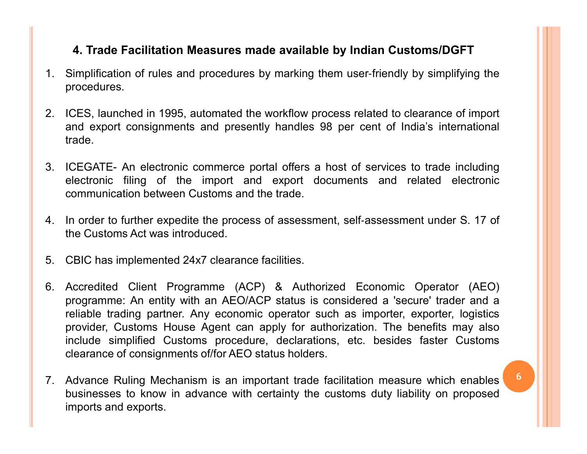### 4. Trade Facilitation Measures made available by Indian Customs/DGFT

- 1. Trade Facilitation Measures made available by Indian Customs/DGFT<br>1. Simplification of rules and procedures by marking them user-friendly by simplifying the<br>2. ICES, launched in 1995, automated the workflow process rela procedures.
- 2. ICES, launched in 1995, automated the workflow process related to clearance of import<br>2. ICES, launched in 1995, automated the workflow process related to clearance of import<br>and export consignments and presently handle 4. Trade Facilitation Measures made available by Indian Customs/DGFT<br>Simplification of rules and procedures by marking them user-friendly by simplifying the<br>procedures.<br>ICES, launched in 1995, automated the workflow proces trade.
- 3. ICEGATE- An electronic commerce portal offers a host of services to trade including the procedures.<br>
2. ICES, launched in 1995, automated the workflow process related to clearance of import<br>
2. ICES, launched in 1995, a 4. Trade Facilitation Measures made available by Indian Customs/DGFT<br>Simplification of rules and procedures by marking them user-friendly by simplifying the<br>procedures.<br>ICES, launched in 1995, automated the workflow proces 4. Trade Facilitation Measures made available by Indian Customs/DGFT<br>Simplification of rules and procedures by marking them user-friendly by simplifying the<br>procedures.<br>ICES, launched in 1995, automated the workflow proces 4. Trade Facilitation Measures made available by Indian Customs/DGFT<br>1. Simplification of rules and procedures by marking them user-friendly by simplifying the<br>procedures.<br>2. ICES, launched in 1995, automated the workflow 4. Trade Facilitation Measures made available by Indian Cust<br>Simplification of rules and procedures by marking them user-friendly b<br>procedures.<br>ICES, launched in 1995, automated the workflow process related to cleand expor 1. Simplification of rules and procedures by marking them user-friendly by simplifying the<br>procedures.<br>2. ICES, launched in 1995, automated the workflow process related to clearance of import<br>and export consignments and pr
- 
- 
- reliable trading partner. Any economic operator such as importer, exporter, logistics provider, Customs House Agent can apply for authorization. The benefits may also include simplified Customs procedure, declarations, etc 1. ICES, launched in 1995, automated the workflow process related to clearance of import<br>
and export consignments and presently handles 98 per cent of India's international<br>
trade.<br>
3. ICEGATE- An electronic commerce porta ICES, launched in 1995, automated the workflow process related to clearance of import<br>
and export consignments and presently handles 98 per cent of India's international<br>
trade.<br>
ICEGATE- An electronic commerce portal offe and export consignments and presently handles 98 per cent of India's international<br>
trade.<br>
ICEGATE- An electronic commerce portal offers a host of services to trade including<br>
electronic filing of the import and export do trade.<br>
ICEGATE- An electronic commerce portal offers a host of services to trade including<br>
electronic filing of the import and export documents and related electronic<br>
communication between Customs and the trade.<br>
In ord ICEGATE- An electronic commerce portal offers a host of services to trade including<br>electronic filing of the import and export documents and related electronic<br>communication between Customs and the trade.<br>In order to furth ICEGATE- An electronic commerce portal offers a host of services to trade including<br>electronic filing of the import and export documents and related electronic<br>communication between Customs and the trade.<br>In order to furth communication between Customs and the trade.<br>
4. In order to further expedite the process of assessment, self-assessment under S. 17 of<br>
the Customs Act was introduced.<br>
5. CBIC has implemented 24x7 clearance facilities.<br> In order to further expedite the process of assessment, self-assessment under S. 17 of<br>the Customs Act was introduced.<br>CBIC has implemented 24x7 clearance facilities.<br>Accredited Client Programme (ACP) & Authorized Economic In order to further expedite the process of assessment, self-a<br>the Customs Act was introduced.<br>CBIC has implemented 24x7 clearance facilities.<br>Accredited Client Programme (ACP) & Authorized Ec<br>programme: An entity with an
-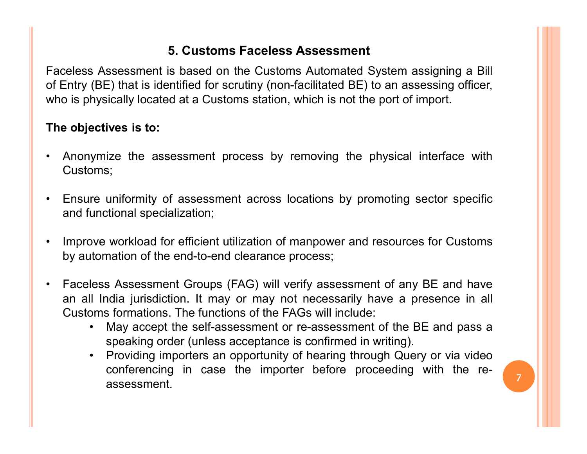### 5. Customs Faceless Assessment

5. Customs Faceless Assessment<br>Faceless Assessment is based on the Customs Automated System assigning a Bill<br>of Entry (BE) that is identified for scrutiny (non-facilitated BE) to an assessing officer,<br>who is physically loc **5. Customs Faceless Assessment**<br>Faceless Assessment is based on the Customs Automated System assigning a Bill<br>of Entry (BE) that is identified for scrutiny (non-facilitated BE) to an assessing officer,<br>who is physically l **5. Customs Faceless Assessment**<br>Faceless Assessment is based on the Customs Automated System assigning a Bill<br>of Entry (BE) that is identified for scrutiny (non-facilitated BE) to an assessing officer,<br>who is physically l 5. Customs Faceless Assessment<br>
Faceless Assessment is based on the Customs Automated Sys<br>
of Entry (BE) that is identified for scrutiny (non-facilitated BE) to a<br>
who is physically located at a Customs station, which is n <sup>5</sup> S. Customs Faceless Assessment<br>
Faceless Assessment is based on the Customs Automated System assigning a Bill<br>
for Entry (BE) that is identified for scrutiny (non-facilitated BE) to an assessing officer,<br>
who is physic <sup>1</sup> Enceless Assessment<br>
Faceless Assessment is based on the Customs Automated System assigning a Bill<br>
for Entry (BE) that is identified for scrutiny (non-facilitated BE) to an assessing officer,<br>
who is physically locate 5. Customs Faceless Assessment<br>
celess Assessment is based on the Customs Automated Sy-<br>
Entry (BE) that is identified for scrutiny (non-facilitated BE) to<br>
be is physically located at a Customs station, which is not the p • Incores Assessment is based on the Customs Automated System assigning a Bill<br>The Charly (BE) that is identified for scrutiny (non-facilitated BE) to an assessing officer,<br>who is physically located at a Customs station, w celess Assessment is based on the Customs Automated System assigning a Bill<br>Entry (BE) that is identified for scrutiny (non-facilitated BE) to an assessing officer,<br>o is physically located at a Customs station, which is no

- Customs;
- 
- 
- **Faceless Assessment Groups (FAG) will verify assessment of importent of importent Customs;**<br>
 Finsure uniformity of assessment across locations by promoting sector specific<br>
 Finsure uniformity of assessment across loc **Example 10** and point of assessment process by removing the physical interface with<br>
Customs;<br>
Ensure uniformity of assessment across locations by promoting sector specific<br>
and functional specialization;<br>
Improve workloa **a** objectives is to:<br>
Anonymize the assessment process by removing the physical interface with<br>
Customs;<br>
Ensure uniformity of assessment across locations by promoting sector specific<br>
and functional specialization;<br>
Impr Frame the assessment process by removing the physical interface with<br>
ims;<br>
re uniformity of assessment across locations by promoting sector specific<br>
unctional specialization;<br>
ve workload for efficient utilization of man
	-
	- ize the assessment process by removing the physical interface with<br>s;<br>tuniformity of assessment across locations by promoting sector specific<br>tional specialization;<br>workload for efficient utilization of manpower and resour From the uniformity of assessment across locations by promoting sector specific<br>unctional specialization;<br>we workload for efficient utilization of manpower and resources for Customs<br>tomation of the end-to-end clearance pro uniformity of assessment across locations by promoting sector specific<br>tional specialization;<br>workload for efficient utilization of manpower and resources for Customs<br>nation of the end-to-end clearance process;<br>S. Assessme conferencing in case the importer before proceeding with the re-<br>assessment.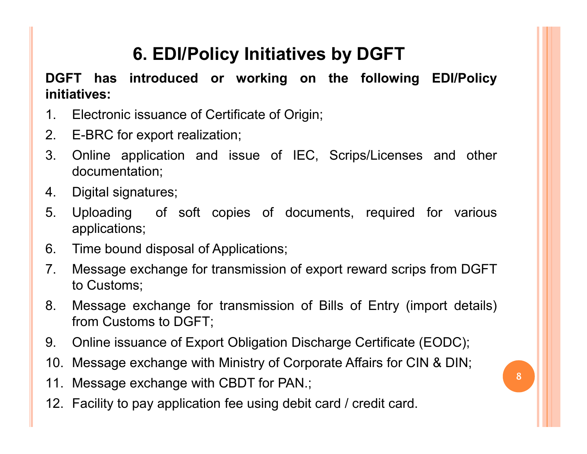## 6. EDI/Policy Initiatives by DGFT

**6. EDI/Policy Initiatives by DGFT<br>DGFT has introduced or working on the following EDI/Policy initiatives:**<br>1. Electronic issuance of Certificate of Origin; initiatives: **6. EDI/Policy Initiatives by DGFT**<br> **1. Electronic issuance of Certificate of Origin;**<br>
2. E-BRC for export realization;<br>
3. Online application and issue of IEC, Scrips/Licenses and other

- 
- 
- **6. EDI/Policy Initiatives by DGFT**<br>
DGFT has introduced or working on the following<br>
initiatives:<br>
1. Electronic issuance of Certificate of Origin;<br>
2. E-BRC for export realization;<br>
3. Online application and issue of IEC **3. Online application and issue of IEC, Scrips/Licenses and other**<br>3. Online application:<br>3. Online application and issue of IEC, Scrips/Licenses and other<br>4. Digital signatures; documentation; 6. EDI/Policy Initiatives by<br>
DGFT has introduced or working on the<br>
initiatives:<br>
1. Electronic issuance of Certificate of Origin;<br>
2. E-BRC for export realization;<br>
3. Online application and issue of IEC, Scrip<br>
document 5. EDI/Policy Initiatives by DGFT<br>
DGFT has introduced or working on the following EDI/Policy<br>
initiatives:<br>
1. Electronic issuance of Certificate of Origin;<br>
2. E-BRC for export realization;<br>
3. Online application and iss 6. **LEARC OF MODEM STAND OF APPLANT OF APPLANT**<br> **COLLET AS introduced or working on the following EDI.**<br> **COLLET ARC SET APPLANT CONTEX APPLANT**<br>
1. Electronic issuance of Certificate of Origin;<br>
2. E-BRC for export reali **Example 12.1 Transmit increase of Certificate of Origin;**<br>1. Electronic issuance of Certificate of Origin;<br>2. E-BRC for export realization;<br>3. Online application and issue of IEC, Scrips/Licenses and other<br>documentation;<br> Electronic issuance of Certificate of Origin;<br>E-BRC for export realization;<br>Online application and issue of IEC,<br>documentation;<br>Digital signatures;<br>Uploading of soft copies of docume<br>applications;<br>Time bound disposal of Ap F. E-BRC for export realization;<br>
2. E-BRC for export realization;<br>
3. Online application and issue of IEC, Scrips/Licenses and other<br>
documentation;<br>
4. Digital signatures;<br>
5. Uploading of soft copies of documents, requi E-BRC for export realization;<br>
Online application and issue of IEC, Scrips/License<br>
documentation;<br>
Digital signatures;<br>
Uploading of soft copies of documents, required<br>
applications;<br>
Time bound disposal of Applications;<br>
- 
- applications;
- 
- 
- 9. Online application and issue of IEC, Scrips/Licenses and other<br>documentation;<br>4. Digital signatures;<br>5. Uploading of soft copies of documents, required for various<br>applications;<br>6. Time bound disposal of Applications;<br>7 documentation,<br>
1. Digital signatures;<br>
5. Uploading of soft copies of documents, required for various<br>
applications;<br>
10. Time bound disposal of Applications;<br>
7. Message exchange for transmission of export reward scrips 4. Digital signatures,<br>
5. Uploading of soft copies of documents, required for various<br>
applications;<br>
6. Time bound disposal of Applications;<br>
7. Message exchange for transmission of export reward scrips from DGFT<br>
to Cus 12. Facility to pay application fee using debit card / credit card.<br>
12. Facility to pay applications;<br>
12. Facility to pay application fee using debit card / credit card.<br>
12. Facility to pay application fee using debit c

- 
- 
- 
-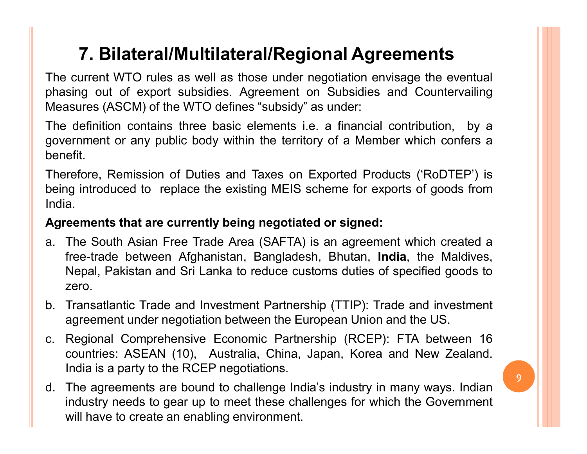## 7. Bilateral/Multilateral/Regional Agreements

**7. Bilateral/Multilateral/Regional Agreements**<br>The current WTO rules as well as those under negotiation envisage the eventual<br>phasing out of export subsidies. Agreement on Subsidies and Countervailing<br>Measures (ASCM) of t **7. Bilateral/Multilateral/Regional Agreements**<br>The current WTO rules as well as those under negotiation envisage the eventual<br>phasing out of export subsidies. Agreement on Subsidies and Countervailing<br>Measures (ASCM) of t **7. Bilateral/Multilateral/Regional Agreements**<br>The current WTO rules as well as those under negotiation envisage the eventual<br>phasing out of export subsidies. Agreement on Subsidies and Countervailing<br>Measures (ASCM) of t

**7. Bilateral/Multilateral/Regional Agreements**<br>The current WTO rules as well as those under negotiation envisage the eventual<br>phasing out of export subsidies. Agreement on Subsidies and Countervailing<br>Measures (ASCM) of t **7. Bilateral/Multilateral/Regional Agreements**<br>The current WTO rules as well as those under negotiation envisage the eventual<br>phasing out of export subsidies. Agreement on Subsidies and Countervailing<br>Measures (ASCM) of t benefit.

**7. Bilateral/Multilateral/Regional Agreements**<br>The current WTO rules as well as those under negotiation envisage the eventual<br>phasing out of export subsides. Agreement on Subsides and Countervailing<br>Measures (ASCM) of the **F. Bilateral/Multilateral/Regional Agreements**<br>The current WTO rules as well as those under negotiation envisage the eventual<br>phasing out of export subsidies. Agreement on Subsidies and Countervailing<br>Measures (ASCM) of t India. 7. Bilateral/Multilateral/Regional Agreements<br>
The current WTO rules as well as those under negotiation envisage the eventual<br>
phasing out of export subsidies. Agreement on Subsidies and Countervailing<br>
Measures (ASCM) of

- 7. Bilateral/Multilateral/Regional Agreements<br>The current WTO rules as well as those under negotiation envisage the eventual<br>phasing out of export subsidies. Agreement on Subsidies and Countervailing<br>Measures (ASCM) of the Free-trade between Afghanistan, Bangladesh, Free-trade and investment<br>Transaction of the MTO defines "subsidy" as under:<br>
Afghanistan Countervailing<br>
Fremment or any public body within the territory of a Member which confe Example of second standard control of second in the WTO defines "subsidies and Countervaling<br>sing out of export subsidies. Agreement on Subsidies and Countervaling<br>saures (ASCM) of the WTO defines "subsidy" as under:<br>the f zero. The definition contains three basic elements i.e. a financial contribution, by a<br>government or any public body within the territory of a Member which confers a<br>benefit.<br>Therefore, Remission of Duties and Taxes on Exported value to any spile body within the territory of a Member which confers a<br>ferment or any public body within the territory of a Member which confers a<br>efft.<br>refore, Remission of Duties and Taxes on Exported Products ('RoDTEP Denefit.<br>
Therefore, Remission of Duties and Taxes on Exported Products ('RoDTEP') is<br>
being introduced to replace the existing MEIS scheme for exports of goods from<br>
India.<br> **Agreements that are currently being negotiated** refore, Remission of Duties and Taxes on Exported Products ('RoDTEP') is<br>ig introduced to replace the existing MEIS scheme for exports of goods from<br>a.<br>**eements that are currently being negotiated or signed:**<br>The South Asi Frements that are currently being negotiated or signed:<br>
The South Asian Free Trade Area (SAFTA) is an agreement which create<br>
The South Asian Free Trade Area (SAFTA) is an agreement which create<br>
free-trade between Afghan India.<br>
Agreements that are currently being negotiated or signed:<br>
a. The South Asian Free Trade Area (SAFTA) is an agreement which created a<br>
free-trade between Afghanistan, Bangladesh, Bhutan, India, the Maldives,<br>
Nepal **Exercise that are currently being negotiated or signed:**<br>The South Asian Free Trade Area (SAFTA) is an agreement which created a<br>free-trade between Afghanistan, Bangladesh, Bhutan, **India**, the Maldives,<br>Nepal, Pakistan a Fine South Asian Free Trade Area (SAFTA) is an agreement which create<br>free-trade between Afghanistan, Bangladesh, Bhutan, **India**, the Maldiv<br>Nepal, Pakistan and Sri Lanka to reduce customs duties of specified goods<br>zero.<br>
- 
- 
- 

9 11 12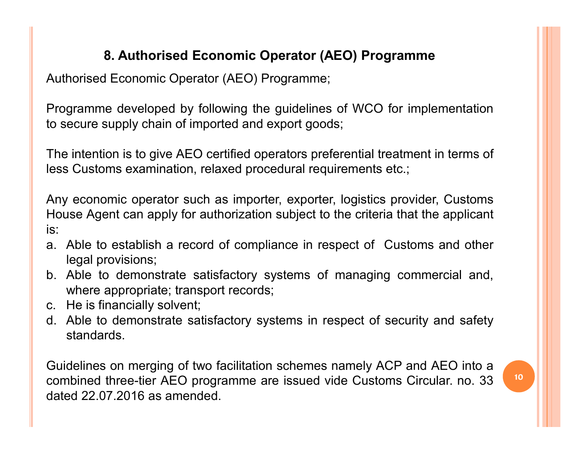## 8. Authorised Economic Operator (AEO) Programme

8. Authorised Economic Operator (AEO) Programme<br>Authorised Economic Operator (AEO) Programme;<br>Programme developed by following the guidelines of WCO for implementation<br>to secure supply chain of imported and export goods; 8. Authorised Economic Operator (AEO) Programme<br>Authorised Economic Operator (AEO) Programme;<br>Programme developed by following the guidelines of WCO for implementation<br>to secure supply chain of imported and export goods;<br>T 8. Authorised Economic Operator (AEO) Programme<br>Authorised Economic Operator (AEO) Programme;<br>Programme developed by following the guidelines of WCO for implementation<br>to secure supply chain of imported and export goods;<br>T 8. Authorised Economic Operator (AEO) Programme<br>Authorised Economic Operator (AEO) Programme;<br>Programme developed by following the guidelines of WCO for implementation<br>to secure supply chain of imported and export goods;<br>T 8. Authorised Economic Operator (AEO) Programme<br>Authorised Economic Operator (AEO) Programme;<br>Programme developed by following the guidelines of WCO for implementation<br>to secure supply chain of imported and export goods;<br>T

8. Authorised Economic Operator (AEO) Programme<br>Authorised Economic Operator (AEO) Programme;<br>Programme developed by following the guidelines of WCO for implementation<br>to secure supply chain of imported and export goods;<br>T 8. Authorised Economic Operator (AEO) Programme<br>Authorised Economic Operator (AEO) Programme;<br>Programme developed by following the guidelines of WCO for implementation<br>to secure supply chain of imported and export goods;<br>T is: 8. Authorised Economic Operator (AEO) Programme<br>
Authorised Economic Operator (AEO) Programme;<br>
Programme developed by following the guidelines of WCO for implementation<br>
to secure supply chain of imported and export goods horised Economic Operator (AEO) Programme;<br>gramme developed by following the guidelines of<br>ecure supply chain of imported and export goods<br>eintention is to give AEO certified operators prefe<br>is Customs examination, relaxed Brogramme developed by following the guidelines of WCO for implementation<br>to secure supply chain of imported and export goods;<br>The intention is to give AEO certified operators preferential treatment in terms of<br>less Custom gramme developed by following the guidelines of WCO for implementa<br>ecure supply chain of imported and export goods;<br>
intention is to give AEO certified operators preferential treatment in term<br>
is Customs examination, rela Consecure supply chain of imported and export goods;<br>The intention is to give AEO certified operators preferential trear<br>less Customs examination, relaxed procedural requirements etcoms<br>Any economic operator such as import The intention is to give AEO certified operators preferential treatment in terms of<br>less Customs examination, relaxed procedural requirements etc.;<br>Any economic operator such as importer, exporter, logistics provider, Cust Example the term of the same of the control of the control of the control of the same AGP shalls.<br>Able to establish a record of compliance in respect of Customs and other<br>legal provisions;<br>b. Able to demonstrate satisfacto Any economic operator such as importer, exporter, logistics provider, Customs<br>House Agent can apply for authorization subject to the criteria that the applicant<br>is:<br>a. Able to establish a record of compliance in respect of

- 
- 
- 
- standards.

House Agent can apply for authorization subject to the criteria th<br>is:<br>a. Able to establish a record of compliance in respect of Cust<br>legal provisions;<br>b. Able to demonstrate satisfactory systems of managing cc<br>where appro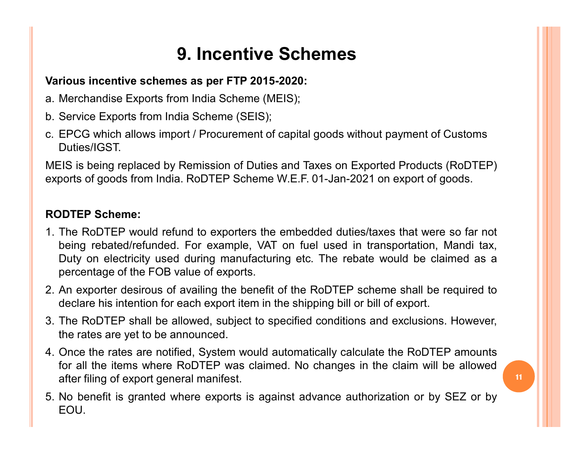## 9. Incentive Schemes

### Various incentive schemes as per FTP 2015-2020:

- 
- 
- **9. Incentive Schemes**<br>Various incentive schemes as per FTP 2015-2020:<br>a. Merchandise Exports from India Scheme (MEIS);<br>b. Service Exports from India Scheme (SEIS);<br>c. EPCG which allows import / Procurement of capital good **9. Incentive Schem**<br>Various incentive schemes as per FTP 2015-2020:<br>a. Merchandise Exports from India Scheme (MEIS);<br>b. Service Exports from India Scheme (SEIS);<br>c. EPCG which allows import / Procurement of capital good<br>D **9. Incentive Schemes**<br>
Various incentive schemes as per FTP 2015-2020:<br>
a. Merchandise Exports from India Scheme (MEIS);<br>
b. Service Exports from India Scheme (SEIS);<br>
C. EPCG which allows import / Procurement of capital Duties/IGST.

**9. Incentive Schemes**<br>
Marious incentive schemes as per FTP 2015-2020:<br>
a. Merchandise Exports from India Scheme (MEIS);<br>
b. Service Exports from India Scheme (SEIS);<br>
c. EPCG which allows import / Procurement of capital 9. Incentive Schemes<br>
Various incentive schemes as per FTP 2015-2020:<br>
a. Merchandise Exports from India Scheme (MEIS);<br>
b. Service Exports from India Scheme (SEIS);<br>
c. EPCG which allows import / Procurement of capital go

- 9. **Incentive Scheme**<br>
Various incentive schemes as per FTP 2015-2020:<br>
a. Merchandise Exports from India Scheme (MEIS);<br>
b. Service Exports from India Scheme (SEIS);<br>
c. EPCG which allows import / Procurement of capital g 9. Incentive Schemes<br>
2. Nerchandise Exports from India Scheme (MEIS);<br>
2. Service Exports from India Scheme (SEIS);<br>
2. CEPCs which allows import / Procurement of capital goods without payment of Customs<br>
2. CEPCs which a **BET THE SCHETT SET SET ASSET ASSET ASSET ASSET ASSET ASSET AS A SET ASSET AS A SET AND THE SET AND THE REFURNIT SET ASSET ASSET ASSET AND THE ROLLER SHOTTEP Scheme:**<br>The Rolling replaced by Remission of Duties and Taxes o rious incentive schemes as per FTP 2015-2020:<br>
Merchandise Exports from India Scheme (MEIS);<br>
Service Exports from India Scheme (SEIS);<br>
EPCG which allows import / Procurement of capital goods without payment of Customs<br>
D **Frous incentive schemes as per FTP 2015-2020:**<br>
Merchandise Exports from India Scheme (MEIS);<br>
Service Exports from India Scheme (SEIS);<br>
EPCG which allows import / Procurement of capital goods without payment of Cu:<br>
Dut 2. Merchandise Exports from India Scheme (WEIS);<br>
b. Service Exports from India Scheme (SEIS);<br>
Duties/IGST.<br>
Duties/IGST.<br>
MEIS is being replaced by Remission of Duties and Taxes on Exported Products (RoDTEP)<br>
exports of Service Exports from India Scheme (SEIS);<br>EPCG which allows import / Procurement of capital goods without payment of Customs<br>Duties/IGST.<br>Unites/IGST.<br>Joots of goods from India. RoDTEP Scheme W.E.F. 01-Jan-2021 on export o c. EPCG which allows import / Procurement of capital goods without payment of Customs<br>
Duties/IGST.<br>
MEIS is being replaced by Remission of Duties and Taxes on Exported Products (RoDTEP)<br>
exports of goods from India. RoDTE Duties/IGST.<br>EIS is being replaced by Remission of Duties and Taxes on Exported Proorts of goods from India. RoDTEP Scheme W.E.F. 01-Jan-2021 on exports of goods from India. RoDTEP Scheme W.E.F. 01-Jan-2021 on exports of g MEIS is being replaced by Remission of Duties and Taxes on Exported Products (RoDTEP)<br>exports of goods from India. RoDTEP Scheme W.E.F. 01-Jan-2021 on export of goods.<br> **RODTEP Scheme:**<br>
1. The RoDTEP would refund to expor oorts of goods from India. RoDTEP Scheme W.E.F. 01-Jan-2021 on export of goods.<br>
DDTEP Scheme:<br>
The RoDTEP would refund to exporters the embedded duties/taxes that were so far not<br>
being rebated/refunded. For example, VAT **DDTEP Scheme:**<br>The RoDTEP would refund to exporters the embedded duties/taxes that were being rebated/refunded. For example, VAT on fuel used in transportation, Duty on electricity used during manufacturing etc. The rebat **RODTEP Scheme:**<br>
1. The RoDTEP would refund to exporters the embedded duties/taxes that were so far not<br>
being rebated/refunded. For example, VAT on fuel used in transportation, Mandi tax,<br>
Duty on electricity used during
- 
- 
- 

11

EOU.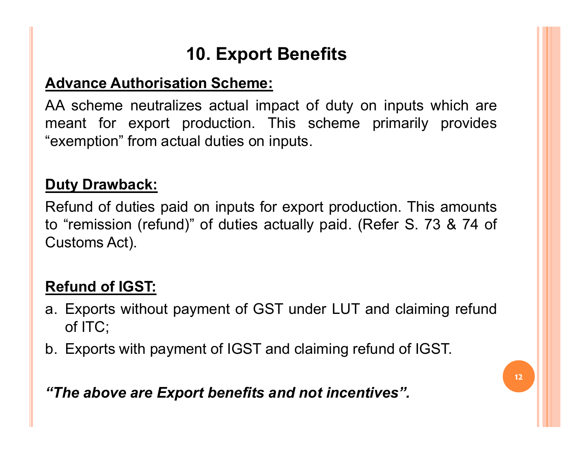## 10. Export Benefits

**10. Export Benefits<br>Advance Authorisation Scheme:**<br>AA scheme neutralizes actual impact of duty on inputs whi<br>meant for export production. This scheme primarily pr **AD SEX 10. Export Benefits<br>Advance Authorisation Scheme:**<br>AA scheme neutralizes actual impact of duty on inputs which are<br>meant for export production. This scheme primarily provides<br>"exemption" from actual duties on input **10. Export Benefits<br>Advance Authorisation Scheme:**<br>AA scheme neutralizes actual impact of duty on inputs which are<br>meant for export production. This scheme primarily provides<br>"exemption" from actual duties on inputs. 10. Export Benefits<br>
Advance Authorisation Scheme:<br>
AA scheme neutralizes actual impact of duty on inputs which are<br>
meant for export production. This scheme primarily provides<br>
"exemption" from actual duties on inputs.<br>
D 10. Export Benef<br>
Advance Authorisation Scheme:<br>
AA scheme neutralizes actual impact of<br>
meant for export production. This scl<br>
"exemption" from actual duties on inputs.<br>
Duty Drawback:<br>
Refund of duties paid on inputs for

**Advance Authorisation Scheme:**<br>
AA scheme neutralizes actual impact of duty on inputs which are<br>
meant for export production. This scheme primarily provides<br>
"exemption" from actual duties on inputs.<br> **Duty Drawback:**<br>
Re 10. Export Benefits<br>
Advance Authorisation Scheme:<br>
AA scheme neutralizes actual impact of duty on inputs which are<br>
meant for export production. This scheme primarily provides<br>
"exemption" from actual duties on inputs.<br>
D 10. **Export Benefits**<br> **Advance Authorisation Scheme:**<br>
AA scheme neutralizes actual impact of duty<br>
meant for export production. This schem<br>
"exemption" from actual duties on inputs.<br> **Duty Drawback:**<br>
Refund of duties pa AA scheme neutralizes actual impact of duty<br>meant for export production. This scheme<br>"exemption" from actual duties on inputs.<br>Duty Drawback:<br>Refund of duties paid on inputs for export production<br>"remission (refund)" of du meant for export production. This scheme primarily provides<br>
"exemption" from actual duties on inputs.<br> **Duty Drawback:**<br>
Refund of duties paid on inputs for export production. This amounts<br>
to "remission (refund)" of duti emption" from actual duties on inputs.<br> **ty Drawback:**<br>
fund of duties paid on inputs for export<br>
"remission (refund)" of duties actually <sub>K</sub><br>
stoms Act).<br> **fund of IGST:**<br>
Exports without payment of GST under<br>
of ITC;<br>
Ex **Duty Drawback:**<br>Refund of duties paid on inputs for export production. This amounts<br>to "remission (refund)" of duties actually paid. (Refer S. 73 & 74 of<br>Customs Act).<br>**Refund of IGST:**<br>a. Exports without payment of IGST Refund of duties paid on inputs for export production. This amounts<br>to "remission (refund)" of duties actually paid. (Refer S. 73 & 74 of<br>Customs Act).<br>**Refund of IGST:**<br>a. Exports without payment of GST under LUT and clai

- 
-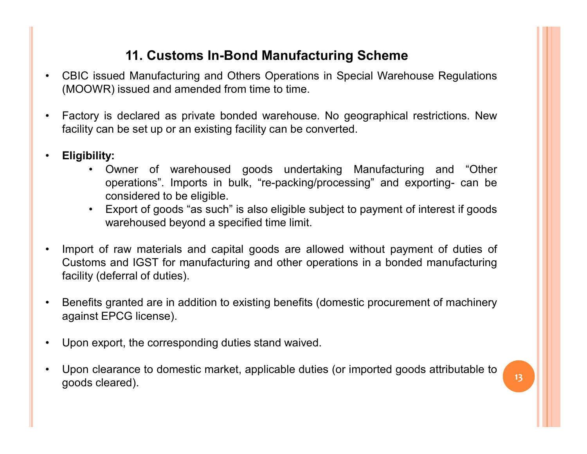### 11. Customs In-Bond Manufacturing Scheme

- 11. Customs In-Bond Manufacturing Scheme<br>• CBIC issued Manufacturing and Others Operations in Special Warehouse Regulations<br>• Factory is declared as private bonded warehouse. No geographical restrictions. New
- **11. Customs In-Bond Manufacturing Scheme**<br>(MOOWR) issued and amended from time to time.<br>(MOOWR) issued and amended from time to time.<br>Factory is declared as private bonded warehouse. No geographical restrictions. New<br>faci 11. Customs In-Bond Manufacturing Scheme<br>• CBIC issued Manufacturing and Others Operations in Special Warehouse Regulations<br>(MOOWR) issued and amended from time to time.<br>• Factory is declared as private bonded warehouse. N **factors 11. Customs In-Bond Manufacturing Scheme**<br>
• CBIC issued Manufacturing and Others Operations in Special Warehouse Regulations<br>
• Factory is declared as private bonded warehouse. No geographical restrictions. New<br>
- 
- 11. Customs In-Bond Manufacturing Scheme<br>
issued Manufacturing and Others Operations in Special Warehouse Regulations<br>
WR) issued and amended from time to time.<br>
y is declared as private bonded warehouse. No geographical r 11. Customs In-Bond Manufacturing Scheme<br>
ued Manufacturing and Others Operations in Special Warehouse Regulations<br>
7) issued and amended from time to time.<br>
is declared as private bonded warehouse. No geographical restric 11. Customs In-Bond Manufacturing Scheme<br>
ued Manufacturing and Others Operations in Special Warehouse<br>
R) issued and amended from time to time.<br>
is declared as private bonded warehouse. No geographical rest<br>
in be set up 11. Customs In-Bond Manufacturing Scheme<br>
issued Manufacturing and Others Operations in Special Warehouse Regulations<br>
WR) issued and amended from time to time.<br>
Wy is declared as private bonded warehouse. No geographical **11. Customs In-Bond Manufacturing Scheme**<br>wed Manufacturing and Others Operations in Special Warehouse Regulations<br>R) issued and amended from time to time.<br>is declared as private bonded warehouse. No geographical restrict
	-
- Import of raw materials and combine in the constrained from the constrained from the constrained from the team of the capital Warehouse Regulations<br>• Factory is declared as private bonded warehouse. No geographical restr CBIC issued Manufacturing and Others Operations in Special Warehouse Regulations<br>
(MOOWR) issued and amended from time to time.<br>
Factory is declared as private bonded warehouse. No geographical restrictions. New<br>
facility (MOOWR) issued and amended from time to time.<br>
Factory is declared as private bonded warehouse. No geographic<br>
facility can be set up or an existing facility can be converted.<br> **Eligibility:**<br>
• Owner of warehoused goods u • Factory is declared as private bonded warehouse. No geographical restrictions. New<br>
facility can be set up or an existing facility can be converted.<br>
• Eligibility:<br>
• Owner of warehoused goods undertaking Manufacturing facility can be set up or an existing facility can be converted.<br> **Eligibility:**<br>
• Owner of warehoused goods undertaking Manu operations". Imports in bulk, "re-packing/processing"<br>
considered to be eligible.<br>
• Export of • Eligibility:<br>• Owner of warehoused goods undertaking Manufacturing and "Other<br>• operations". Imports in bulk, "re-packing/processing" and exporting- can be<br>• considered to be eligible.<br>• Export of goods "as such" is also operations". Imports in bulk, "re-packing/processing" and exporting- can be<br>
considered to be eligible.<br>
• Export of goods "as such" is also eligible subject to payment of interest if goods<br>
warehoused beyond a specified t considered to be eligible.<br>
• Export of goods "as such" is also eligible subject to payment of interest if goods<br>
warehoused beyond a specified time limit.<br>
Import of raw materials and capital goods are allowed without pay
- 
- 
-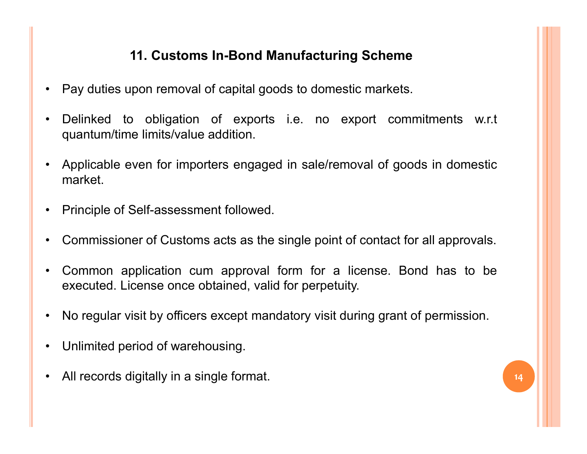### 11. Customs In-Bond Manufacturing Scheme

- 
- 11. Customs In-Bond Manufacturing Scheme<br>• Pay duties upon removal of capital goods to domestic markets.<br>• Delinked to obligation of exports i.e. no export commitments w.r.t quantum/time limits/value addition. 11. Customs In-Bond Manufacturing Scheme<br>• Pay duties upon removal of capital goods to domestic markets.<br>• Delinked to obligation of exports i.e. no export commitments w.r.t<br>• Applicable even for importers engaged in sale/ 11. Customs In-Bond Manufacturing Scheme<br>Pay duties upon removal of capital goods to domestic markets.<br>Delinked to obligation of exports i.e. no export commitmer<br>quantum/time limits/value addition.<br>Applicable even for impo 11. Customs In-Bond Manufacturing Scheme<br>• Pay duties upon removal of capital goods to domestic markets.<br>• Delinked to obligation of exports i.e. no export commitments w.r.t<br>quantum/time limits/value addition.<br>• Applicable 11. Customs In-Bond Manufacturing Scheme<br>• Pay duties upon removal of capital goods to domestic markets.<br>• Delinked to obligation of exports i.e. no export commitments<br>quantum/time limits/value addition.<br>• Applicable even 11. Customs In-Bond Manufacturing Scheme<br>
• Pay duties upon removal of capital goods to domestic markets.<br>
• Delinked to obligation of exports i.e. no export commitments w.r.t<br>
• quantum/time limits/value addition.<br>
• Appl • Pay duties upon removal of capital goods to domestic markets.<br>• Delinked to obligation of exports i.e. no export commitments w.r.t<br>• Applicable even for importers engaged in sale/removal of goods in domestic<br>market.<br>• Pr executed. The limits/value addition.<br>
Applicable even for importers engaged in sale/removal of goods in domestic<br>
Applicable even for importers engaged in sale/removal of goods in domestic<br>
market.<br>
Principle of Self-asses
- market.
- 
- 
- For Applicable even for importers engaged in sale/removal of goods in domestic<br>
 Applicable even for importers engaged in sale/removal of goods in domestic<br>
 Principle of Self-assessment followed.<br>
 Commissioner of Cust • Applicable even for importers engaged in sale/removal of goomarket.<br>
• Principle of Self-assessment followed.<br>
• Commissioner of Customs acts as the single point of contact fo<br>
• Common application cum approval form for • Principle of Self-assessment followed.<br>• Commissioner of Customs acts as the single point of contact for all approvals.<br>• Common application cum approval form for a license. Bond has to be<br>executed. License once obtained
- 
- 
-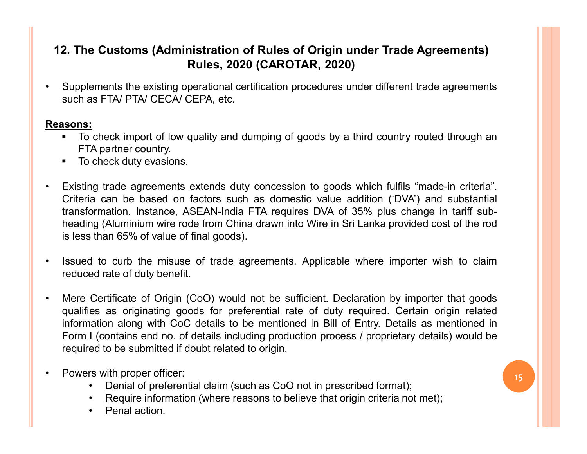# 12. The Customs (Administration of Rules of Origin under Trade Agreements)<br>Rules, 2020 (CAROTAR, 2020)<br>• Supplements the existing operational certification procedures under different trade agreements<br>such as FTA/ PTA/ CECA 2. The Customs (Administration of Rules of Origin under Trade Agreem<br>Rules, 2020 (CAROTAR, 2020)<br>Supplements the existing operational certification procedures under different trade agre<br>such as FTA/ PTA/ CECA/ CEPA, etc.<br>T **The Customs (Administration of Rules of Origin under Trade Agreements)**<br> **Rules, 2020 (CAROTAR, 2020)**<br>
Supplements the existing operational certification procedures under different trade agreements<br>
such as FTA/ PTA/ CEC 12. The Customs (Administration of Rules of Origin under Trade Agreements) Rules, 2020 (CAROTAR, 2020)

### Reasons:

- 
- 
- **2. The Customs (Administration of Rules of Origin under T<br>
Rules, 2020 (CAROTAR, 2020)**<br>
Supplements the existing operational certification procedures under dif<br>
such as FTA/ PTA/ CECA/ CEPA, etc.<br> **SOON:**<br>
To check impo **12. The Customs (Administration of Rules of Origin under Trade Agreements)**<br> **Rules, 2020 (CAROTAR, 2020)**<br>
• Supplements the existing operational certification procedures under different trade agreements<br>
such as FTA/PTA 2. The Customs (Administration of Rules of Origin under Trade Agreements)<br>
Rules, 2020 (CAROTAR, 2020)<br>
Supplements the existing operational certification procedures under different trade agreements<br>
such as FTA/ PTA/ CECA The Customs (Administration of Rules of Origin under Trade Agreements)<br>
Rules, 2020 (CAROTAR, 2020)<br>
Supplements the existing operational certification procedures under different trade agreements<br>
such as FTA/PTA/CECA/CEPA **Existence is a multimedial condition of Rules of Origin under Trade Agreements)**<br> **Supplements the existing operational certification procedures under different trade agreements<br>
such as FTA/ PTA/ CECA/ CEPA, etc.<br>
<b>ISONS** 2. The Customs (Administration of Rules of Origin under Trade Agreen<br>
Rules, 2020 (CAROTAR, 2020)<br>
Supplements the existing operational certification procedures under different trade age<br>
such as FTA/ PTA/ CECA/ CEPA, etc. • Supplements the existing creational certification procedures under different trade agreements<br>
such as FTA/ PTA/ CECA/ CEPA, etc.<br>
• To check import of low quality and dumping of goods by a third country routed through a Supplements the existing operational certification procedures under differ<br>such as FTA/ PTA/ CECA/ CEPA, etc.<br>sons:<br><br>The check import of low quality and dumping of goods by a third coun<br>FTA partner country.<br>To check duty e **Ecessons:**<br>• To check import of low quality and dumping of goods by a third country routed through an<br>• TA partner country.<br>• Existing trade agreements extends duty concession to goods which fulfils "made-in criteria".<br>•
- 
- **sons:**<br>
To check import of low quality and dumping of goods by a third country routed through an<br>
TFA partner country.<br>
To check duty evasions.<br>
Existing trade agreements extends duty concession to goods which fulfils "ma FTA partner country.<br>
FTA partner country is the mental of the mental of the mental of the mental of the product and the mental of the mental Criteria can be based on factors such as domestic value addition (DVA) and subst FTA partner country.<br>
Existing trade agreements extends duty concession to goods which fulfils "made-in criteria".<br>
Criteria can be based on factors such as domestic value addition (DVA) and substantial<br>
transformation. In To check duty evasions.<br>
Existing trade agreements extends duty concession to goods which fulfils "made-in criteria".<br>
Criteria can be based on factors such as domestic value addition (DVA') and substantial<br>
transformation • Existing trade agreements extends duty concession to goods which ful Criteria can be based on factors such as domestic value addition (1 transformation. Instance, ASEAN-India FTA requires DVA of 35% plus heading (Alumini ia can be based on factors such as domestic value addition ('DVA') and substantial<br>ormation. Instance, ASEAN-India FTA requires DVA of 35% plus change in tariff sub-<br>ormation. Instance, ASEAN-India FTA requires DVA of 35% ormation. Instance, ASEAN-India FTA requires DVA of 35% plus change in tariff sub-<br>
is than 65% of value of final goods).<br>
I to curb the misuse of trade agreements. Applicable where importer wish to claim<br>
ed rate of duty ng (Aluminium wire rode from China drawn into Wire in Sri Lank<br>• Sthan 65% of value of final goods).<br>• 1 to curb the misuse of trade agreements. Applicable whered rate of duty benefit.<br>• Certificate of Origin (CoO) would n
- -
	-
	-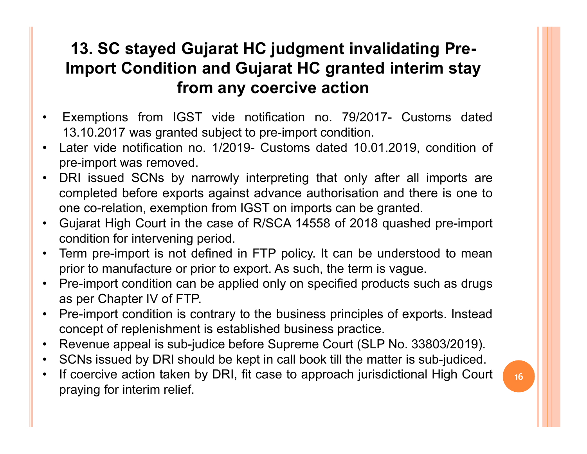## **13. SC stayed Gujarat HC judgment invalidating Pre-<br>
Import Condition and Gujarat HC granted interim stay<br>
from any coercive action<br>
• Exemptions from IGST vide notification no. 79/2017- Customs dated<br>
13.10.2017 was gran** 13. SC stayed Gujarat HC judgment invalidating Pre-<br>
Import Condition and Gujarat HC granted interim stay<br>
from any coercive action<br>
Exemptions from IGST vide notification no. 79/2017- Customs dated<br>
13.10.2017 was granted 13. SC stayed Gujarat HC judgment invalidating Pre-<br>
Import Condition and Gujarat HC granted interim stay<br>
from any coercive action<br>
• Exemptions from IGST vide notification no. 79/2017- Customs dated<br>
13.10.2017 was grant **13. SC stayed Gujarat HC judgment invali**<br> **Import Condition and Gujarat HC granted**<br> **from any coercive action**<br>
Exemptions from IGST vide notification no. 79/2017<br>
13.10.2017 was granted subject to pre-import condition. **13. SC stayed Gujarat HC judgment invalidating Pre-**<br> **Import Condition and Gujarat HC granted interim stay**<br> **from any coercive action**<br>
• Exemptions from IGST vide notification no. 79/2017- Customs dated<br>
13.10.2017 wa **13. SC stayed Gujarat HC judgment invalidating Pre-**<br> **Import Condition and Gujarat HC granted interim stay**<br> **from any coercive action**<br>
Exemptions from IGST vide notification no. 79/2017- Customs dated<br>
13.10.2017 was 13. SC stayed Gujarat HC judgment invalidating Pre-<br>
Import Condition and Gujarat HC granted interim stay<br>
from any coercive action<br>
Exemptions from IGST vide notification no. 79/2017- Customs dated<br>
13.10.2017 was granted 13. SC stayed Gujarat HC judgment invalidating Pre-<br>
Import Condition and Gujarat HC granted interim stay<br>
from any coercive action<br>
• Exemptions from IGST vide notification no. 79/2017- Customs dated<br>
13.10.2017 was gran 13. SC stayed Gujarat HC judgment Invalidating<br>
Import Condition and Gujarat HC granted interim<br>
from any coercive action<br>
Exemptions from IGST vide notification no. 79/2017- Custon<br>
13.10.2017 was granted subject to pre-i 13. SC stayed Gujarat HC judgment invalidating Pre-Import Condition and Gujarat HC granted interim stay from any coercive action

- 
- 
- **From any coercive action**<br>
 Exemptions from IGST vide notification no. 79/2017- Customs dated<br>
13.10.2017 was granted subject to pre-import condition.<br>
 Later vide notification no. 1/2019- Customs dated 10.01.2019, cond **From any coercive action**<br>
Exemptions from IGST vide notification no. 79/2017- Customs dated<br>
13.10.2017 was granted subject to pre-import condition.<br>
Later vide notification no. 1/2019- Customs dated 10.01.2019, conditio • Exemptions from IGST vide notification no. 79/2017- Customs dated<br>
13.10.2017 was granted subject to pre-import condition.<br>
• Later vide notification no. 1/2019- Customs dated 10.01.2019, condition of<br>
pre-import was rem Exemptions from IGST vide notification no. 79/2017- Cu<br>13.10.2017 was granted subject to pre-import condition.<br>Later vide notification no. 1/2019- Customs dated 10.01.2019,<br>pre-import was removed.<br>DRI issued SCNs by narrow 13.10.2017 was granted subject to pre-import condition.<br>
Later vide notification no. 1/2019- Customs dated 10.01.2019, condition of<br>
pre-import was removed.<br>
• DRI issued SCNs by narrowly interpreting that only after all i Later vide notification no. 1/2019- Customs dated 10.01.2019, condition of<br>pre-import was removed.<br>DRI issued SCNs by narrowly interpreting that only after all imports are<br>ompleted before exports against advance authorisat including the sub-judice before supreme Court (SLP No. 33803/2019).<br>
• DRI issued SCNs by narrowly interpreting that only after all imports are<br>
• one co-relation, exemption from IGST on imports can be granted.<br>
• Gujarat • DRI issued SCNs by narrowly interpreting that only after all imports are completed before exports against advance authorisation and there is one to one co-relation, exemption from IGST on imports can be granted.<br>• Gujara From the coercive action, exemption in the case of R/SCA 14558 of 2018 quashed pre-import<br>
• Gujarat High Court in the case of R/SCA 14558 of 2018 quashed pre-import<br>
• Term pre-import is not defined in FTP policy. It can
- 
- 
- 
- Fraying for interim relief.<br>
The co-relation, exemption from IGST on imports can be grant<br>
Gujarat High Court in the case of R/SCA 14558 of 2018 quas<br>
condition for intervening period.<br>
Term pre-import is not defined in FT
- 
- 
-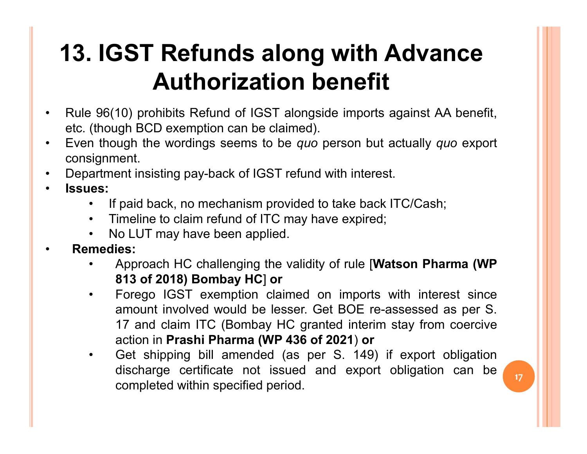## **13. IGST Refunds along with Advance<br>
Authorization benefit<br>
• Rule 96(10) prohibits Refund of IGST alongside imports against AA benefit,<br>
• Even though BCD exemption can be claimed).<br>
• Even though the wordings seems to 13. IGST Refunds along with Advance**<br>**Authorization benefit**<br>Rule 96(10) prohibits Refund of IGST alongside imports against AA benefit,<br>etc. (though BCD exemption can be claimed).<br>Even though the wordings seems to be *qu* **13. IGST Refunds along with Advance**<br> **Authorization benefit**<br>
• Rule 96(10) prohibits Refund of IGST alongside imports against AA benefit,<br>
• Even though BCD exemption can be claimed).<br>
• Department image wordings seems **13. IGST Refunds along with Advance**<br> **Authorization benefit**<br>
• Rule 96(10) prohibits Refund of IGST alongside imports against AA benefit,<br>
• etc. (though BCD exemption can be claimed).<br>
• Even though the wordings seems • IGST Refunds along with Advance<br>
• Authorization benefit<br>
• 96(10) prohibits Refund of IGST alongside imports against AA benefit,<br>
(though BCD exemption can be claimed).<br>
is import to take wordings seems to be *quo* pers • IGST Refunds along with Advance<br>
• 96(10) prohibits Refund of IGST alongside imports against AA benefit,<br>
(though BCD exemption can be claimed).<br>
In though the wordings seems to be *quo* person but actually *quo* export<br> **13. IGST Refunds along with Advance**<br> **Authorization benefit**<br>
• Rule 96(10) prohibits Refund of IGST alongside imports against AA benefietc. (though BCD exemption can be claimed).<br>
• Even though the wordings seems to be 13. IGST Refunds along with Advance Authorization benefit

- 
- consignment. **Authorization benefit**<br>
• 96(10) prohibits Refund of IGST alongside imports against AA benefit,<br>
(though BCD exemption can be claimed).<br>
In though the wordings seems to be *quo* person but actually *quo* export<br>
ignment.<br>
- 
- -
	-
	-
- -
- THE TREATION BOTTENTS INCREDITED THE SUPPLICE (10) prohibits Refund of IGST alongside imports against AA beneft und BCD exemption can be claimed).<br>
Supply the wordings seems to be *quo* person but actually *quo* exponent.<br> • 96(10) prohibits Refund of IGST alongside imports against AA benefit,<br>
(though BCD exemption can be claimed).<br>
in though the wordings seems to be *quo* person but actually *quo* export<br>
ignment.<br>
ignment<br>
ignment insisti amount involved would be lesser. Get BOE re-assessed as per S.<br>
The CD exemption can be claimed).<br>
and back, no mechanism provided to take back ITC/Cash;<br>
imeline to claim refund of ITC may have expired;<br>
imeline to claim dight the wordings seems to be *quo* person but actually *quo* export<br>
ent.<br>
In this is and back, no mechanism provided to take back ITC/Cash;<br>
Ineline to claim refund of ITC may have expired;<br>
Incline to claim refund of I Figure 1.1 The Matter of the Present and Matter of the Present in the particle of the pack it coincil and back, to mechanism provided to take back ITC/Cash;<br>imeline to claim refund of ITC may have expired;<br>it is:<br>it also t Frament insisting pay-back of IGST refund with interest.<br>
• If paid back, no mechanism provided to take back ITC/Cash;<br>
• Timeline to claim refund of ITC may have expired;<br>
• No LUT may have been applied.<br>
• Approach HC ch minimizing pay and the the think minimizing<br>
ineline to claim refund of ITC may have expired;<br>
ilo LUT may have been applied.<br>
ies:<br>
16 LUT may have been applied.<br>
16 Sepproach HC challenging the validity of rule [Watson P imeline to claim provided to take back ITC/Cash;<br>imeline to claim refund of ITC may have expired;<br>lo LUT may have been applied.<br>**Example 11 All and Solution** Section 1.1 All and Solveton Challenging the validity of rule [
	-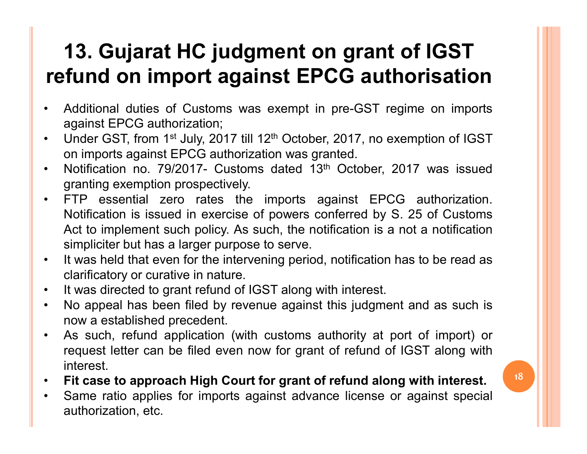## **13. Gujarat HC judgment on grant of IGST<br>
refund on import against EPCG authorisation<br>
• Additional duties of Customs was exempt in pre-GST regime on imports<br>
• Under GST, from 1st July, 2017 till 12<sup>th</sup> October, 2017, n 13. Gujarat HC judgment on grant<br>fund on import against EPCG aut<br>Additional duties of Customs was exempt in pre-GST r<br>against EPCG authorization;<br>Under GST, from 1st July, 2017 till 12<sup>th</sup> October, 2017, no e<br>on imports a 13. Gujarat HC judgment on grant of IGST**<br> **refund on import against EPCG authorisation**<br>
• Additional duties of Customs was exempt in pre-GST regime on imports<br> **against EPCG authorization;**<br>
• Under GST, from 1<sup>st</sup> Jul **13. Gujarat HC judgment on grant of IGST**<br>**fund on import against EPCG authorisation**<br>Additional duties of Customs was exempt in pre-GST regime on imports<br>against EPCG authorization;<br>Under GST, from 1<sup>st</sup> July, 2017 till **13. Gujarat HC judgment on grant of IGST**<br> **refund on import against EPCG authorisation**<br>
Additional duties of Customs was exempt in pre-GST regime on imports<br>
against EPCG authorization:<br>
Under GST, from 1<sup>st</sup> July, 201 **13. Gujarat HC judgment on grant of**<br>**fund on import against EPCG autho**<br>Additional duties of Customs was exempt in pre-GST regim<br>against EPCG authorization;<br>Under GST, from 1st July, 2017 till 12<sup>th</sup> October, 2017, no e 13. Gujarat HC judgment on grant of IGST refund on import against EPCG authorisation

- 
- 
- 
- **13. Gujarat HC judgment on grant of IGST**<br> **refund on import against EPCG authorisation**<br>
 Additional duties of Customs was exempt in pre-GST regime on imports<br>
against EPCG authorization;<br>
 Under GST, from 1<sup>st</sup> July, **13. Gujarat HC judgment on grant of IGST<br>fund on import against EPCG authorisation**<br>Additional duties of Customs was exempt in pre-GST regime on imports<br>against EPCG authorization;<br>Under GST, from 1st July, 2017 till 12<sup></sup> **13. Gujarat HC judgment on grant of IGST<br>fund on import against EPCG authorisation**<br>Additional duties of Customs was exempt in pre-GST regime on imports<br>against EPCG authorization;<br>Under GST, from 1<sup>st</sup> July, 2017 till 1 **IST COMBATE THE SIMUST THE SIMURE TO THE SIMULATE SIMULATE SERVIDE Additional duties of Customs was exempt in pre-GST regime on imports against EPCG authorization;<br>Under GST, from 1<sup>st</sup> July, 2017 till 12<sup>th</sup> October, 20 Fefund on import against EPCG authorisation**<br>
• Additional duties of Customs was exempt in pre-GST regime on imports<br>
• Under GST, from 1st July, 2017 till 12<sup>th</sup> October, 2017, no exemption of IGST<br>
on imports against EP Example 211 Trust and Survive in the Contribution<br>Additional duties of Customs was exempt in pre-GST regime on<br>against EPCG authorization;<br>On imports against EPCG authorization was granted.<br>Notification no. 79/2017- Custom • Additional duties of Customs was exempt in pre-GST regime on imports<br>
against EPCG authorization;<br>
• Under GST, from 1<sup>st</sup> July, 2017 till 12<sup>th</sup> October, 2017, no exemption of IGST<br>
• nimports against EPCG authorization against EPCG authorization;<br>
Under GST, from 1<sup>st</sup> July, 2017 till 12<sup>th</sup> October, 2017, no exemption of IGST<br>
on imports against EPCG authorization was granted.<br>
• Notification no. 79/2017 - Customs dated 13<sup>th</sup> October, Under GST, from 1<sup>st</sup> July, 2017 till 12<sup>th</sup> October, 2017, no exer<br>on imports against EPCG authorization was granted.<br>Notification no. 79/2017- Customs dated 13<sup>th</sup> October, 201<br>granting exemption prospectively.<br>FTP essen on imports against EPCG authorization was granted.<br>
• Notification no. 79/2017- Customs dated 13<sup>th</sup> October, 2017 was issued<br>
granting exemption prospectively.<br>
• FTP essential zero rates the imports against EPCG authoriz Notification no. 79/2017- Customs dated 13<sup>th</sup> October, 2017 was issued<br>granting exemption prospectively.<br>FTP essential zero rates the imports against EPCG authorization.<br>Notification is issued in exercise of powers confer • FTP essential zero rates the imports against EPCG authorization.<br>
Notification is issued in exercise of powers conferred by S. 25 of Customs<br>
Act to implement such policy. As such, the notification is a not a notificatio • Notification is issued in exercise of powers conferred by S. 25 of Customs<br>
Act to implement such policy. As such, the notification is a not a notification<br>
• twas held that even for the intervening period, notification
- 
- 
- 
- interest. Act to implement such policy. As such, the notification is<br>simpliciter but has a larger purpose to serve.<br>It was held that even for the intervening period, notification<br>clarificatory or curative in nature.<br>It was directed

- 
-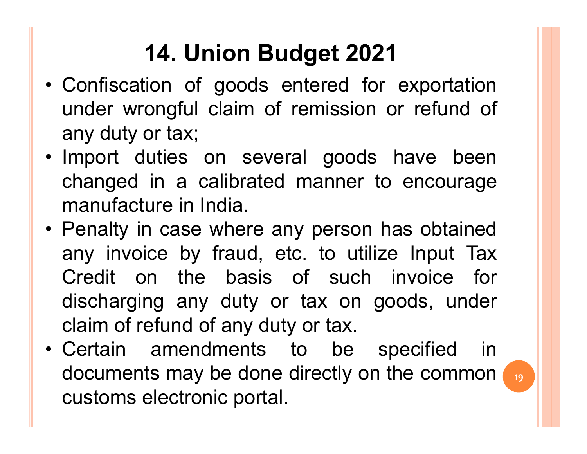## 14. Union Budget 2021

- **14. Union Budget 2021**<br>• Confiscation of goods entered for exportation<br>under wrongful claim of remission or refund of<br>any duty or tax: **14. Union Budget 2021**<br>Confiscation of goods entered for exportation<br>under wrongful claim of remission or refund of<br>any duty or tax;<br>Import duties on several goods have been **14. Union Budget 2021**<br>Confiscation of goods entered for e<br>under wrongful claim of remission or<br>any duty or tax;<br>Import duties on several goods ha<br>changed in a calibrated manner to a **14. Union Budget 2021**<br>• Confiscation of goods entered for exportation<br>under wrongful claim of remission or refund of<br>any duty or tax;<br>• Import duties on several goods have been<br>changed in a calibrated manner to encourage 14. Union Budget 2021<br>
Confiscation of goods entered for exportation<br>
under wrongful claim of remission or refund of<br>
any duty or tax;<br>
Import duties on several goods have been<br>
changed in a calibrated manner to encourage<br> **14. Union Budget 2021**<br>Confiscation of goods entered for expo<br>under wrongful claim of remission or refu<br>any duty or tax;<br>Import duties on several goods have<br>changed in a calibrated manner to enco<br>manufacture in India.<br>Pen 14. Union Budget 2021<br>
• Confiscation of goods entered for exportation<br>
under wrongful claim of remission or refund of<br>
any duty or tax;<br>
• Import duties on several goods have been<br>
changed in a calibrated manner to encour
- 
- Confiscation of goods entered for exportation<br>
under wrongful claim of remission or refund of<br>
any duty or tax;<br>
Import duties on several goods have been<br>
changed in a calibrated manner to encourage<br>
manufacture in India.<br> Colliscation of goods entered for exportation<br>under wrongful claim of remission or refund of<br>any duty or tax;<br>Import duties on several goods have been<br>changed in a calibrated manner to encourage<br>manufacture in India.<br>Penal any duty or tax;<br>any duty or tax;<br>Import duties on several goods have been<br>changed in a calibrated manner to encourage<br>manufacture in India.<br>Penalty in case where any person has obtained<br>any invoice by fraud, etc. to utili any duty or tax,<br>
Import duties on several goods have been<br>
changed in a calibrated manner to encourage<br>
manufacture in India.<br>
Penalty in case where any person has obtained<br>
any invoice by fraud, etc. to utilize Input Tax • Import duties of several goods have been<br>
changed in a calibrated manner to encourage<br>
manufacture in India.<br>
• Penalty in case where any person has obtained<br>
any invoice by fraud, etc. to utilize Input Tax<br>
Credit on th document in a calibrated manner to encodiage<br>manufacture in India.<br>Penalty in case where any person has obtained<br>any invoice by fraud, etc. to utilize Input Tax<br>Credit on the basis of such invoice for<br>discharging any duty manuacture in mula.<br>Penalty in case where any person has obtain<br>any invoice by fraud, etc. to utilize Input T<br>Credit on the basis of such invoice is<br>discharging any duty or tax on goods, unc<br>claim of refund of any duty or
- documents may be done directly on the common  $\sqrt{19}$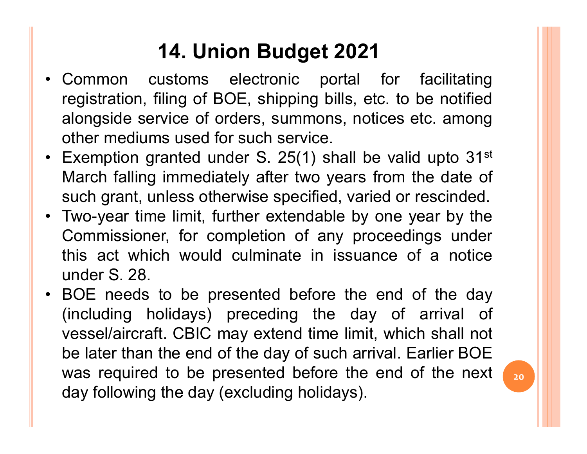## 14. Union Budget 2021

- 14. Union Budget 2021<br>• Common customs electronic portal for facilitating<br>registration, filing of BOE, shipping bills, etc. to be notified<br>alongside service of orders, summons, notices etc. among **14. Union Budget 2021**<br>Common customs electronic portal for facilitating<br>registration, filing of BOE, shipping bills, etc. to be notified<br>alongside service of orders, summons, notices etc. among<br>other mediums used for suc **14. Union Budget 2021**<br>Common customs electronic portal for facilitating<br>registration, filing of BOE, shipping bills, etc. to be notified<br>alongside service of orders, summons, notices etc. among<br>other mediums used for suc **14. Union Budget 2021**<br>Common customs electronic portal for facilitating<br>registration, filing of BOE, shipping bills, etc. to be notified<br>alongside service of orders, summons, notices etc. among<br>other mediums used for suc 14. Union Budget 2021<br>• Common customs electronic portal for facilitating<br>registration, filing of BOE, shipping bills, etc. to be notified<br>alongside service of orders, summons, notices etc. among<br>other mediums used for suc **14. Union Budget 2021**<br>Common customs electronic portal for facilitating<br>registration, filing of BOE, shipping bills, etc. to be notified<br>alongside service of orders, summons, notices etc. among<br>other mediums used for suc **14. Union Budget 2021**<br>Common customs electronic portal for facilitating<br>registration, filing of BOE, shipping bills, etc. to be notified<br>alongside service of orders, summons, notices etc. among<br>other mediums used for suc **14. Union Budget 2021**<br>
• Common customs electronic portal for facilitating registration, filing of BOE, shipping bills, etc. to be notified alongside service of orders, summons, notices etc. among other mediums used for **14. Union Budget 2021**<br>Common customs electronic portal for facilitating<br>registration, filing of BOE, shipping bills, etc. to be notified<br>alongside service of orders, summons, notices etc. among<br>other mediums used for su Common customs electronic portal for facilitating<br>registration, filing of BOE, shipping bills, etc. to be notified<br>alongside service of orders, summons, notices etc. among<br>other mediums used for such service.<br>Exemption gra
- 
- registration, filing of BOE, shipping bills, e<br>alongside service of orders, summons, no<br>other mediums used for such service.<br>Exemption granted under S. 25(1) shall b<br>March falling immediately after two years<br>such grant, un For the mediums used for summons, notices etc. among<br>
ther mediums used for such service.<br>
• Exemption granted under S. 25(1) shall be valid upto 31<sup>st</sup><br>
March falling immediately after two years from the date of<br>
such gra
- other mediums used for such service.<br>
Exemption granted under S. 25(1) shall be valid upto 31<sup>st</sup><br>
March falling immediately after two years from the date of<br>
such grant, unless otherwise specified, varied or rescinded.<br>
T Exemption granted under S. 25(1) shall be valid upto 31<sup>st</sup><br>March falling immediately after two years from the date of<br>such grant, unless otherwise specified, varied or rescinded.<br>Two-year time limit, further extendable by March falling immediately after two years from the date of<br>such grant, unless otherwise specified, varied or rescinded.<br>Two-year time limit, further extendable by one year by the<br>Commissioner, for completion of any proceed such grant, unless otherwise specified, varied or rescinded.<br>Two-year time limit, further extendable by one year by the<br>Commissioner, for completion of any proceedings under<br>this act which would culminate in issuance of a Two-year time limit, further extendable by one year by the Commissioner, for completion of any proceedings under this act which would culminate in issuance of a notice under S. 28.<br>BOE needs to be presented before the end